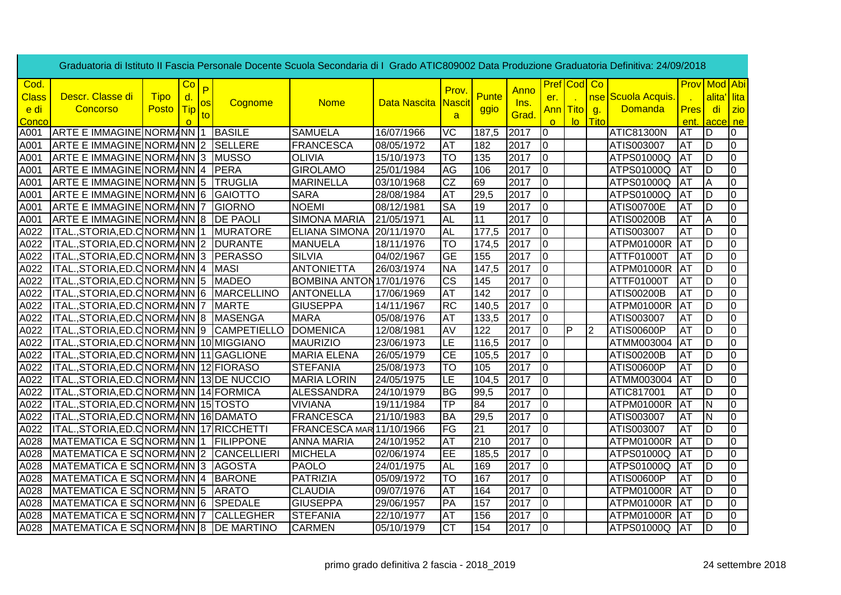| Graduatoria di Istituto II Fascia Personale Docente Scuola Secondaria di I Grado ATIC809002 Data Produzione Graduatoria Definitiva: 24/09/2018 |                                            |                      |                              |         |                  |                          |                     |                          |                      |              |                 |                    |                |                                                    |             |                                     |                                |
|------------------------------------------------------------------------------------------------------------------------------------------------|--------------------------------------------|----------------------|------------------------------|---------|------------------|--------------------------|---------------------|--------------------------|----------------------|--------------|-----------------|--------------------|----------------|----------------------------------------------------|-------------|-------------------------------------|--------------------------------|
| Cod.<br><b>Class</b><br>e di                                                                                                                   | Descr. Classe di<br>Concorso               | <b>Tipo</b><br>Posto | Co<br>d.<br><mark>Tip</mark> | P<br>os | Cognome          | <b>Nome</b>              | <b>Data Nascita</b> | Prov.<br><b>Nascit</b>   | <b>Punte</b><br>ggio | Anno<br>Ins. | er.<br>Ann Tito | <b>Pref</b> Cod Co | g.             | <mark>nse </mark> Scuola Acquis.<br><b>Domanda</b> | <b>Pres</b> | <b>Prov</b> Mod Abi<br>alita'<br>di | <mark>'∣lita</mark><br>$ z$ io |
| Conco                                                                                                                                          |                                            |                      | <sup>o</sup>                 | to      |                  |                          |                     | $\overline{a}$           |                      | Grad.        | $\Omega$        | lo.                | Tito           |                                                    | ent.        | acce ne                             |                                |
| A001                                                                                                                                           | ARTE E IMMAGINE NORMANN 1                  |                      |                              |         | <b>BASILE</b>    | <b>SAMUELA</b>           | 16/07/1966          | <b>VC</b>                | 187,5                | 2017         | IO.             |                    |                | <b>ATIC81300N</b>                                  | <b>AT</b>   | D                                   | 0                              |
| A001                                                                                                                                           | ARTE E IMMAGINE NORMANN 2                  |                      |                              |         | SELLERE          | FRANCESCA                | 08/05/1972          | <b>AT</b>                | 182                  | 2017         | lo.             |                    |                | ATIS003007                                         | <b>AT</b>   | ID                                  | l0                             |
| A001                                                                                                                                           | ARTE E IMMAGINE NORMANN 3                  |                      |                              |         | <b>MUSSO</b>     | <b>OLIVIA</b>            | 15/10/1973          | <b>TO</b>                | 135                  | 2017         | lo.             |                    |                | ATPS01000Q                                         | <b>AT</b>   | ID                                  | l0                             |
| A001                                                                                                                                           | ARTE E IMMAGINE NORMANN 4   PERA           |                      |                              |         |                  | <b>GIROLAMO</b>          | 25/01/1984          | AG                       | 106                  | 2017         | lo.             |                    |                | ATPS01000Q                                         | IAT         | D                                   | $\overline{0}$                 |
| A001                                                                                                                                           | ARTE E IMMAGINE NORMANN 5 TRUGLIA          |                      |                              |         |                  | MARINELLA                | 03/10/1968          | <b>ICZ</b>               | 69                   | 2017         | O               |                    |                | ATPS01000Q                                         | <b>IAT</b>  | A                                   | l0                             |
| A001                                                                                                                                           | ARTE E IMMAGINE NORMANN 6 GAIOTTO          |                      |                              |         |                  | <b>SARA</b>              | 28/08/1984          | <b>AT</b>                | 29,5                 | 2017         | lo.             |                    |                | ATPS01000Q                                         | IAT         | D                                   | l0                             |
| A001                                                                                                                                           | ARTE E IMMAGINE NORMANN 7                  |                      |                              |         | <b>IGIORNO</b>   | <b>NOEMI</b>             | 08/12/1981          | <b>SA</b>                | 19                   | 2017         | lo.             |                    |                | <b>ATIS00700E</b>                                  | AT          | D                                   | l0                             |
| A001                                                                                                                                           | ARTE E IMMAGINE NORMANN 8 DE PAOLI         |                      |                              |         |                  | <b>SIMONA MARIA</b>      | 21/05/1971          | <b>AL</b>                | 11                   | 2017         | Iо              |                    |                | ATIS00200B                                         | AT          | A                                   | l0                             |
| A022                                                                                                                                           | ITAL., STORIA, ED. C NORMANN 1             |                      |                              |         | <b>MURATORE</b>  | ELIANA SIMONA 20/11/1970 |                     | <b>AL</b>                | 177,5                | 2017         | Iо              |                    |                | ATIS003007                                         | <b>AT</b>   | D                                   | 0                              |
| A022                                                                                                                                           | ITAL., STORIA, ED. C NORMANN 2             |                      |                              |         | <b>DURANTE</b>   | MANUELA                  | 18/11/1976          | <b>TO</b>                | 174,5                | 2017         | lo.             |                    |                | ATPM01000R                                         | <b>AT</b>   | D                                   | 0                              |
| A022                                                                                                                                           | ITAL., STORIA, ED. C NORMANN 3             |                      |                              |         | <b>PERASSO</b>   | <b>SILVIA</b>            | 04/02/1967          | lGЕ                      | 155                  | 2017         | $\overline{10}$ |                    |                | ATTF01000T                                         | IAT         | D                                   | $\overline{0}$                 |
| A022                                                                                                                                           | ITAL., STORIA, ED. C NORMANN 4             |                      |                              |         | <b>MASI</b>      | <b>ANTONIETTA</b>        | 26/03/1974          | <b>NA</b>                | 147,5                | 2017         | $\overline{0}$  |                    |                | ATPM01000R                                         | <b>JAT</b>  | D                                   | $\overline{0}$                 |
| A022                                                                                                                                           | ITAL.,STORIA,ED.C NORMANN 5                |                      |                              |         | <b>MADEO</b>     | BOMBINA ANTON17/01/1976  |                     | lcs                      | 145                  | 2017         | $\overline{0}$  |                    |                | ATTF01000T                                         | lat         | D                                   | O                              |
| A022                                                                                                                                           | ITAL., STORIA, ED. CNORMANN 6 MARCELLINO   |                      |                              |         |                  | ANTONELLA                | 17/06/1969          | <b>AT</b>                | 142                  | 2017         | $ 0\rangle$     |                    |                | ATIS00200B                                         | AT          | D                                   | $\overline{0}$                 |
| A022                                                                                                                                           | ITAL., STORIA, ED. C NORMANN 7             |                      |                              |         | <b>MARTE</b>     | <b>GIUSEPPA</b>          | 14/11/1967          | RC                       | 140,5                | 2017         | $ 0\rangle$     |                    |                | ATPM01000R                                         | <b>JAT</b>  | D                                   | $\overline{0}$                 |
| A022                                                                                                                                           | ITAL., STORIA, ED. CNORMANN 8 MASENGA      |                      |                              |         |                  | MARA                     | 05/08/1976          | <b>AT</b>                | 133,5                | 2017         | Iо              |                    |                | ATIS003007                                         | AT          | D                                   | $\overline{0}$                 |
| A022                                                                                                                                           | ITAL., STORIA, ED. C NORMANN 9 CAMPETIELLO |                      |                              |         |                  | <b>DOMENICA</b>          | 12/08/1981          | AV                       | 122                  | 2017         | $\overline{0}$  | <b>P</b>           | $\overline{2}$ | ATIS00600P                                         | <b>AT</b>   | D                                   | O                              |
| A022                                                                                                                                           | ITAL., STORIA, ED. CNORMANN 10 MIGGIANO    |                      |                              |         |                  | MAURIZIO                 | 23/06/1973          | ILE                      | 116,5                | 2017         | I0              |                    |                | ATMM003004                                         | <b>AT</b>   | D                                   | 0                              |
| A022                                                                                                                                           | ITAL., STORIA, ED. CNORMANN 11 GAGLIONE    |                      |                              |         |                  | <b>MARIA ELENA</b>       | 26/05/1979          | IСE                      | 105,5                | 2017         | IO.             |                    |                | <b>ATIS00200B</b>                                  | AT          | D                                   | 0                              |
| A022                                                                                                                                           | ITAL.,STORIA,ED.C NORMANN 12 FIORASO       |                      |                              |         |                  | <b>STEFANIA</b>          | 25/08/1973          | <b>TO</b>                | 105                  | 2017         | 0               |                    |                | <b>ATIS00600P</b>                                  | AT          | D                                   | l0                             |
| A022                                                                                                                                           | ITAL., STORIA, ED. C NORMANN 13 DE NUCCIO  |                      |                              |         |                  | <b>MARIA LORIN</b>       | 24/05/1975          | ILE                      | 104,5                | 2017         | 0               |                    |                | ATMM003004                                         | <b>IAT</b>  | ID                                  | O                              |
| A022                                                                                                                                           | ITAL.,STORIA,ED.C NORMANN 14 FORMICA       |                      |                              |         |                  | ALESSANDRA               | 24/10/1979          | lBG                      | 99,5                 | 2017         | lo.             |                    |                | ATIC817001                                         | ΑT          | ID                                  | l0                             |
| A022                                                                                                                                           | ITAL.,STORIA,ED.C NORMANN 15 TOSTO         |                      |                              |         |                  | <b>VIVIANA</b>           | 19/11/1984          | TP                       | 84                   | 2017         | Iо              |                    |                | ATPM01000R AT                                      |             | N                                   | l0                             |
| A022                                                                                                                                           | ITAL.,STORIA,ED.C NORMANN 16 DAMATO        |                      |                              |         |                  | <b>FRANCESCA</b>         | 21/10/1983          | <b>BA</b>                | 29,5                 | 2017         | IО              |                    |                | ATIS003007                                         | AT          | N                                   | 0                              |
| A022                                                                                                                                           | ITAL., STORIA, ED. C NORMANN 17 RICCHETTI  |                      |                              |         |                  | FRANCESCA MAR 11/10/1966 |                     | $\overline{\mathsf{FG}}$ | 21                   | 2017         | $\overline{0}$  |                    |                | ATIS003007                                         | <b>JAT</b>  | D                                   | 0                              |
| A028                                                                                                                                           | MATEMATICA E SONORMANN 1                   |                      |                              |         | <b>FILIPPONE</b> | <b>ANNA MARIA</b>        | 24/10/1952          | AT                       | 210                  | 2017         | I0              |                    |                | ATPM01000R                                         | <b>AT</b>   | D                                   | 0                              |
| A028                                                                                                                                           | MATEMATICA E SONORMANN 2 CANCELLIERI       |                      |                              |         |                  | <b>MICHELA</b>           | 02/06/1974          | EE                       | 185,5                | 2017         | $\overline{0}$  |                    |                | ATPS01000Q                                         | <b>JAT</b>  | D                                   | 0                              |
| A028                                                                                                                                           | MATEMATICA E SONORMANN 3 AGOSTA            |                      |                              |         |                  | PAOLO                    | 24/01/1975          | <b>AL</b>                | 169                  | 2017         | $\overline{0}$  |                    |                | ATPS01000Q                                         | <b>JAT</b>  | D                                   | l0                             |
| A028                                                                                                                                           | MATEMATICA E SONORMANN 4 BARONE            |                      |                              |         |                  | PATRIZIA                 | 05/09/1972          | <b>TO</b>                | 167                  | 2017         | $\overline{0}$  |                    |                | <b>ATIS00600P</b>                                  | AT          | D                                   | $\overline{0}$                 |
| A028                                                                                                                                           | MATEMATICA E SONORMANN 5                   |                      |                              |         | <b>ARATO</b>     | <b>CLAUDIA</b>           | 09/07/1976          | <b>AT</b>                | 164                  | 2017         | $\overline{0}$  |                    |                | ATPM01000R                                         | <b>JAT</b>  | D                                   | $\overline{0}$                 |
| A028                                                                                                                                           | MATEMATICA E SONORMANN 6 SPEDALE           |                      |                              |         |                  | <b>GIUSEPPA</b>          | 29/06/1957          | <b>PA</b>                | 157                  | 2017         | $\overline{10}$ |                    |                | ATPM01000R AT                                      |             | D                                   | lo                             |
| A028                                                                                                                                           | MATEMATICA E SCNORMANN 7                   |                      |                              |         | <b>CALLEGHER</b> | <b>STEFANIA</b>          | 22/10/1977          | <b>AT</b>                | 156                  | 2017         | lo.             |                    |                | ATPM01000R AT                                      |             | ID                                  | 0                              |
| A028                                                                                                                                           | MATEMATICA E SONORMANN 8   DE MARTINO      |                      |                              |         |                  | <b>CARMEN</b>            | 05/10/1979          | Iст                      | 154                  | 2017         | $\overline{0}$  |                    |                | ATPS01000Q                                         | <b>JAT</b>  | ĪD                                  | O                              |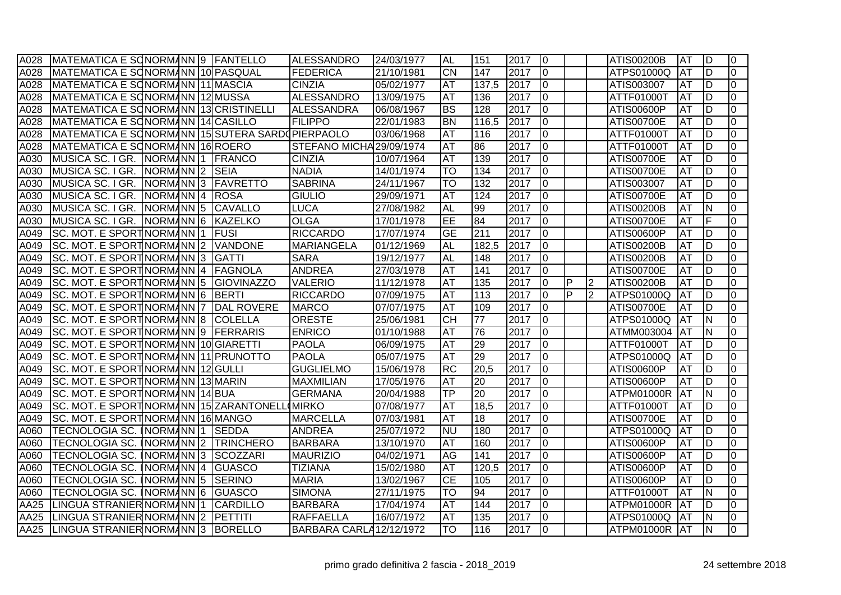| A028 | MATEMATICA E SCNORMANN 9 FANTELLO                |  |                   | ALESSANDRO               | 24/03/1977 | <b>AL</b> | 151   | 2017 | $\overline{0}$ |   |                | <b>ATIS00200B</b> | <b>AT</b>  | İD                      | 0              |
|------|--------------------------------------------------|--|-------------------|--------------------------|------------|-----------|-------|------|----------------|---|----------------|-------------------|------------|-------------------------|----------------|
| A028 | MATEMATICA E SONORMANN 10 PASQUAL                |  |                   | <b>FEDERICA</b>          | 21/10/1981 | lсм       | 147   | 2017 | I0             |   |                | ATPS01000Q        | <b>AT</b>  | ID                      | $\mathbf 0$    |
| A028 | MATEMATICA E SONORMANN 11 MASCIA                 |  |                   | <b>CINZIA</b>            | 05/02/1977 | <b>AT</b> | 137,5 | 2017 | I0             |   |                | ATIS003007        | AT         | ID                      | $\mathbf 0$    |
| A028 | MATEMATICA E SONORMANN 12 MUSSA                  |  |                   | <b>ALESSANDRO</b>        | 13/09/1975 | <b>AT</b> | 136   | 2017 | 0              |   |                | ATTF01000T        | <b>AT</b>  | ID                      | $\Omega$       |
| A028 | MATEMATICA E SONORMANN 13 CRISTINELLI            |  |                   | <b>ALESSANDRA</b>        | 06/08/1967 | <b>BS</b> | 128   | 2017 | l0             |   |                | ATIS00600P        | <b>AT</b>  | ĪD                      | $\overline{0}$ |
| A028 | MATEMATICA E SONORMANN 14 CASILLO                |  |                   | <b>FILIPPO</b>           | 22/01/1983 | <b>BN</b> | 116,5 | 2017 | $\overline{0}$ |   |                | ATIS00700E        | <b>AT</b>  | ID                      | $\mathbf 0$    |
| A028 | MATEMATICA E SONORMANN 15 SUTERA SARDOPIERPAOLO  |  |                   |                          | 03/06/1968 | lat       | 116   | 2017 | l0             |   |                | ATTF01000T        | <b>AT</b>  | ĪD                      | $\mathbf 0$    |
| A028 | MATEMATICA E SONORMANN 16 ROERO                  |  |                   | STEFANO MICHA 29/09/1974 |            | <b>AT</b> | 86    | 2017 | 0              |   |                | ATTF01000T        | <b>AT</b>  | ID                      | $\Omega$       |
| A030 | MUSICA SC. I GR. NORMANN 1 FRANCO                |  |                   | <b>CINZIA</b>            | 10/07/1964 | <b>AT</b> | 139   | 2017 | l0             |   |                | <b>ATIS00700E</b> | <b>AT</b>  | ĪD                      | $\Omega$       |
| A030 | MUSICA SC. I GR.   NORM <i> </i> INN  2   SEIA   |  |                   | <b>NADIA</b>             | 14/01/1974 | lTO       | 134   | 2017 | $\overline{0}$ |   |                | <b>ATIS00700E</b> | <b>AT</b>  | lD                      | $\mathbf 0$    |
| A030 | MUSICA SC. I GR. NORMANN 3 FAVRETTO              |  |                   | <b>SABRINA</b>           | 24/11/1967 | lto       | 132   | 2017 | $\overline{0}$ |   |                | ATIS003007        | AT         | ID                      | $\mathbf 0$    |
| A030 | MUSICA SC. I GR.   NORM4NN  4   ROSA             |  |                   | <b>GIULIO</b>            | 29/09/1971 | AT        | 124   | 2017 | 0              |   |                | ATIS00700E        | AT         | ID                      | $\Omega$       |
| A030 | MUSICA SC. I GR. NORMANN 5 CAVALLO               |  |                   | <b>LUCA</b>              | 27/08/1982 | AL        | 99    | 2017 | l0             |   |                | ATIS00200B        | AT         | $\overline{\mathsf{N}}$ | $\mathbf 0$    |
| A030 | MUSICA SC. I GR. NORMANN 6 KAZELKO               |  |                   | <b>OLGA</b>              | 17/01/1978 | lee       | 84    | 2017 | I0             |   |                | <b>ATIS00700E</b> | <b>AT</b>  | F                       | $\mathbf 0$    |
| A049 | SC. MOT. E SPORTINORMANN 1                       |  | <b>IFUSI</b>      | <b>RICCARDO</b>          | 17/07/1974 | lGЕ       | 211   | 2017 | 0              |   |                | ATIS00600P        | <b>AT</b>  | D                       | $\mathbf 0$    |
| A049 | SC. MOT. E SPORTINORMANN 2 VANDONE               |  |                   | <b>MARIANGELA</b>        | 01/12/1969 | <b>AL</b> | 182,5 | 2017 | 0              |   |                | ATIS00200B        | <b>AT</b>  | ID                      | $\Omega$       |
| A049 | SC. MOT. E SPORTINORMANN 3 GATTI                 |  |                   | <b>SARA</b>              | 19/12/1977 | <b>AL</b> | 148   | 2017 | $\overline{0}$ |   |                | ATIS00200B        | <b>AT</b>  | ĪD                      | $\mathbf 0$    |
| A049 | ISC. MOT. E SPORT∣NORM <i>I</i> INN I4  IFAGNOLA |  |                   | <b>ANDREA</b>            | 27/03/1978 | lat       | 141   | 2017 | $\overline{0}$ |   |                | <b>ATIS00700E</b> | <b>AT</b>  | ĪD                      | $\Omega$       |
| A049 | SC. MOT. E SPORTINORMANN 5 GIOVINAZZO            |  |                   | <b>VALERIO</b>           | 11/12/1978 | <b>AT</b> | 135   | 2017 | 0              | P | $\overline{2}$ | <b>ATIS00200B</b> | AT         | ĪD                      | $\Omega$       |
| A049 | SC. MOT. E SPORTINORMANN 6 BERTI                 |  |                   | <b>RICCARDO</b>          | 07/09/1975 | IAT       | 113   | 2017 | $\overline{0}$ | P | $\overline{2}$ | ATPS01000Q        | AT         | ĪD                      | $\Omega$       |
| A049 | SC. MOT. E SPORTINORMANN 7                       |  | <b>DAL ROVERE</b> | MARCO                    | 07/07/1975 | <b>AT</b> | 109   | 2017 | $\overline{0}$ |   |                | <b>ATIS00700E</b> | <b>AT</b>  | D                       | 0              |
| A049 | SC. MOT. E SPORTINORMANN 8 COLELLA               |  |                   | <b>ORESTE</b>            | 25/06/1981 | Існ       | 77    | 2017 | I0             |   |                | ATPS01000Q        | AT         | <b>N</b>                | $\mathbf 0$    |
| A049 | SC. MOT. E SPORTINORMANN 9   FERRARIS            |  |                   | <b>ENRICO</b>            | 01/10/1988 | AT        | 76    | 2017 | l0             |   |                | ATMM003004        | <b>JAT</b> | İΝ                      | $\mathbf 0$    |
| A049 | SC. MOT. E SPORTINORMANN 10 GIARETTI             |  |                   | <b>PAOLA</b>             | 06/09/1975 | AT        | 29    | 2017 | I0             |   |                | ATTF01000T        | ΙAΤ        | ID                      | $\Omega$       |
| A049 | SC. MOT. E SPORTINORMANN 11 PRUNOTTO             |  |                   | <b>PAOLA</b>             | 05/07/1975 | <b>AT</b> | 29    | 2017 | l0             |   |                | ATPS01000Q        | <b>AT</b>  | D                       | $\mathbf 0$    |
| A049 | ISC. MOT. E SPORT∣NORM <i>I</i> INN I12IGULLI    |  |                   | <b>GUGLIELMO</b>         | 15/06/1978 | IRC       | 20,5  | 2017 | I0             |   |                | <b>ATIS00600P</b> | <b>AT</b>  | D                       | $\mathbf 0$    |
| A049 | SC. MOT. E SPORTINORMANN 13 MARIN                |  |                   | <b>MAXMILIAN</b>         | 17/05/1976 | <b>AT</b> | 20    | 2017 | $\overline{0}$ |   |                | ATIS00600P        | <b>AT</b>  | D                       | $\mathbf 0$    |
| A049 | SC. MOT. E SPORTINORMANN 14 BUA                  |  |                   | <b>GERMANA</b>           | 20/04/1988 | lTP.      | 20    | 2017 | 10             |   |                | ATPM01000R AT     |            | İΝ                      | $\mathbf 0$    |
| A049 | SC. MOT. E SPORT NORMANN 15 ZARANTONELL          |  |                   | <b>MIRKO</b>             | 07/08/1977 | <b>AT</b> | 18,5  | 2017 | I٥             |   |                | ATTF01000T        | <b>AT</b>  | ĪD                      | $\mathbf 0$    |
| A049 | SC. MOT. E SPORT NORMANN 16 MANGO                |  |                   | <b>MARCELLA</b>          | 07/03/1981 | lat       | 18    | 2017 | 0              |   |                | <b>ATIS00700E</b> | <b>AT</b>  | ĪD                      | $\Omega$       |
| A060 | TECNOLOGIA SC. ∥NORM∕INN  1   SEDDA              |  |                   | <b>ANDREA</b>            | 25/07/1972 | lnu       | 180   | 2017 | 0              |   |                | ATPS01000Q        | AT         | ID                      | $\mathbf 0$    |
| A060 | TECNOLOGIA SC. INORMANN 2 TRINCHERO              |  |                   | <b>BARBARA</b>           | 13/10/1970 | IAT       | 160   | 2017 | 0              |   |                | ATIS00600P        | AT         | ID                      | 0              |
| A060 | TECNOLOGIA SC. INORMANN 3 SCOZZARI               |  |                   | <b>MAURIZIO</b>          | 04/02/1971 | AG        | 141   | 2017 | 10             |   |                | ATIS00600P        | <b>AT</b>  | ID                      | 0              |
| A060 | TECNOLOGIA SC. INORMANN 4 GUASCO                 |  |                   | <b>TIZIANA</b>           | 15/02/1980 | IAT       | 120.5 | 2017 | I0             |   |                | ATIS00600P        | ΙAΤ        | ID                      | $\Omega$       |
| A060 | TECNOLOGIA SC. INORMANN 5 SERINO                 |  |                   | <b>MARIA</b>             | 13/02/1967 | IСE       | 105   | 2017 | l0             |   |                | ATIS00600P        | <b>AT</b>  | ĪD                      | $\mathbf 0$    |
| A060 | ITECNOLOGIA SC. INORMANN I6 IGUASCO              |  |                   | <b>SIMONA</b>            | 27/11/1975 | lto       | 94    | 2017 | 10             |   |                | ATTF01000T        | <b>AT</b>  | ΙN                      | $\Omega$       |
| AA25 | LINGUA STRANIER NORMANN 1                        |  | <b>CARDILLO</b>   | <b>BARBARA</b>           | 17/04/1974 | <b>AT</b> | 144   | 2017 | l0             |   |                | ATPM01000R        | <b>AT</b>  | D                       | $\mathbf 0$    |
| AA25 | LINGUA STRANIER NORMANN 2 PETTITI                |  |                   | <b>RAFFAELLA</b>         | 16/07/1972 | <b>AT</b> | 135   | 2017 | $ 0\rangle$    |   |                | ATPS01000Q        | <b>IAT</b> | İΝ                      | 0              |
|      | AA25 LINGUA STRANIER NORMANN 3 BORELLO           |  |                   | BARBARA CARLA 12/12/1972 |            | lto       | 116   | 2017 | $ 0\rangle$    |   |                | ATPM01000R AT     |            | $\overline{\mathsf{N}}$ | $\mathbf 0$    |